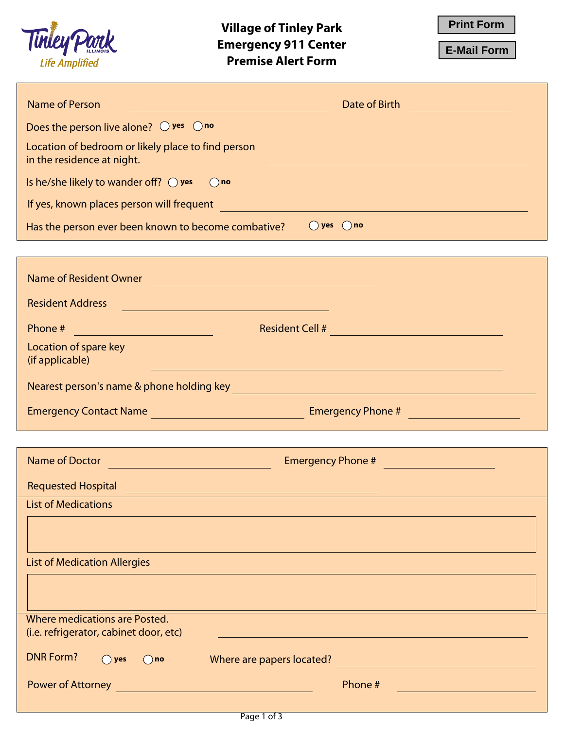

**E-Mail Form** 

| <b>Name of Person</b><br>Date of Birth<br><u> 1999 - Johann Barnett, fransk politiker (</u><br>$\mathcal{L}^{\text{max}}_{\text{max}}$ and $\mathcal{L}^{\text{max}}_{\text{max}}$ and $\mathcal{L}^{\text{max}}_{\text{max}}$                                     |
|--------------------------------------------------------------------------------------------------------------------------------------------------------------------------------------------------------------------------------------------------------------------|
| Does the person live alone? $\bigcirc$ yes $\bigcirc$ no                                                                                                                                                                                                           |
| Location of bedroom or likely place to find person<br>in the residence at night.<br><b>Service Service</b>                                                                                                                                                         |
| Is he/she likely to wander off? $\bigcirc$ yes $\bigcirc$ no                                                                                                                                                                                                       |
| If yes, known places person will frequent <b>the contract of the contract of the contract of the contract of the contract of the contract of the contract of the contract of the contract of the contract of the contract of the</b>                               |
| $\bigcirc$ yes $\bigcirc$ no<br>Has the person ever been known to become combative?                                                                                                                                                                                |
|                                                                                                                                                                                                                                                                    |
| Name of Resident Owner Name and Contract of Resident Owner                                                                                                                                                                                                         |
| <b>Resident Address</b><br><u> 1989 - Johann Stein, marwolaethau (b. 1989)</u>                                                                                                                                                                                     |
| Phone #<br><b>Resident Cell #</b><br><u> 1989 - Johann Barnett, fransk konge</u><br><u> 1999 - Johann Barn, mars eta ba</u>                                                                                                                                        |
| Location of spare key<br>(if applicable)<br><u> 1989 - Johann Stoff, amerikansk politiker (d. 1989)</u>                                                                                                                                                            |
| Nearest person's name & phone holding key <b>which is a contract of the contract of the contract of the contract of the contract of the contract of the contract of the contract of the contract of the contract of the contract</b>                               |
|                                                                                                                                                                                                                                                                    |
|                                                                                                                                                                                                                                                                    |
|                                                                                                                                                                                                                                                                    |
| Name of Doctor<br>Emergency Phone #<br><u> 1989 - Johann Barnett, fransk politik (</u>                                                                                                                                                                             |
|                                                                                                                                                                                                                                                                    |
| Requested Hospital <u>Communications of the Communications of the Communications of the Communications of the Communications of the Communications of the Communications of the Communications of the Communications of the Comm</u><br><b>List of Medications</b> |
|                                                                                                                                                                                                                                                                    |
| <b>List of Medication Allergies</b>                                                                                                                                                                                                                                |
|                                                                                                                                                                                                                                                                    |
| Where medications are Posted.                                                                                                                                                                                                                                      |
| (i.e. refrigerator, cabinet door, etc)<br><b>DNR Form?</b><br>Where are papers located?<br>$()$ yes<br>$()$ no                                                                                                                                                     |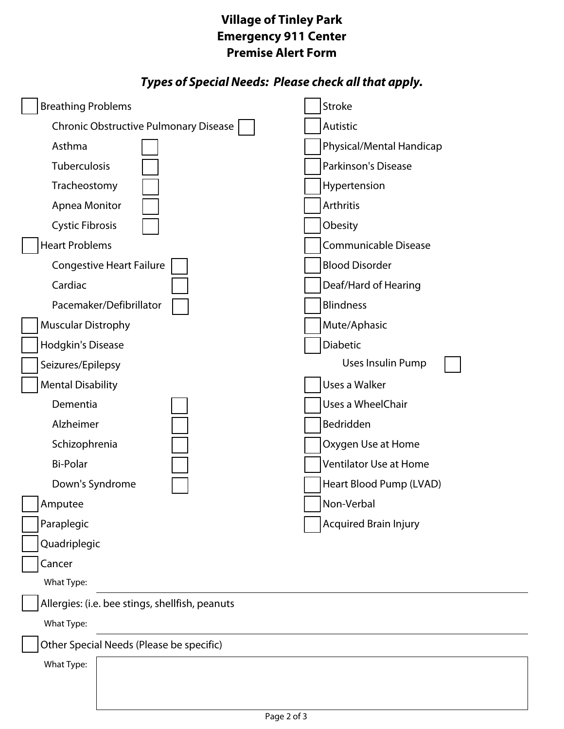## **Premise Alert Form Example 21 Village of Tinley Park**

## *Types of Special Needs: Please check all that apply.*

| <b>Breathing Problems</b>                       | Stroke                       |  |  |  |
|-------------------------------------------------|------------------------------|--|--|--|
| Chronic Obstructive Pulmonary Disease           | Autistic                     |  |  |  |
| Asthma                                          | Physical/Mental Handicap     |  |  |  |
| Tuberculosis                                    | Parkinson's Disease          |  |  |  |
| Tracheostomy                                    | Hypertension                 |  |  |  |
| Apnea Monitor                                   | Arthritis                    |  |  |  |
| <b>Cystic Fibrosis</b>                          | Obesity                      |  |  |  |
| <b>Heart Problems</b>                           | Communicable Disease         |  |  |  |
| <b>Congestive Heart Failure</b>                 | <b>Blood Disorder</b>        |  |  |  |
| Cardiac                                         | Deaf/Hard of Hearing         |  |  |  |
| Pacemaker/Defibrillator                         | <b>Blindness</b>             |  |  |  |
| <b>Muscular Distrophy</b>                       | Mute/Aphasic                 |  |  |  |
| Hodgkin's Disease                               | Diabetic                     |  |  |  |
| Seizures/Epilepsy                               | Uses Insulin Pump            |  |  |  |
| <b>Mental Disability</b>                        | Uses a Walker                |  |  |  |
| Dementia                                        | Uses a WheelChair            |  |  |  |
| Alzheimer                                       | Bedridden                    |  |  |  |
| Schizophrenia                                   | Oxygen Use at Home           |  |  |  |
| <b>Bi-Polar</b>                                 | Ventilator Use at Home       |  |  |  |
| Down's Syndrome                                 | Heart Blood Pump (LVAD)      |  |  |  |
| Amputee                                         | Non-Verbal                   |  |  |  |
| Paraplegic                                      | <b>Acquired Brain Injury</b> |  |  |  |
| Quadriplegic                                    |                              |  |  |  |
| Cancer                                          |                              |  |  |  |
| What Type:                                      |                              |  |  |  |
| Allergies: (i.e. bee stings, shellfish, peanuts |                              |  |  |  |
| What Type:                                      |                              |  |  |  |
| Other Special Needs (Please be specific)        |                              |  |  |  |
| What Type:                                      |                              |  |  |  |
|                                                 |                              |  |  |  |
|                                                 |                              |  |  |  |